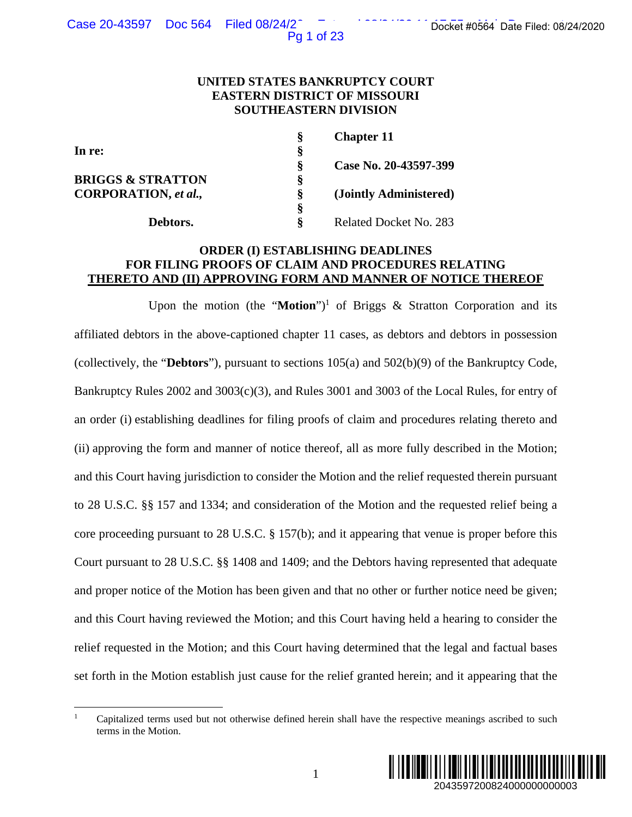Pg 1 of 23

## **UNITED STATES BANKRUPTCY COURT EASTERN DISTRICT OF MISSOURI SOUTHEASTERN DIVISION**

|                              |   | <b>Chapter 11</b>      |
|------------------------------|---|------------------------|
| In re:                       | ş |                        |
|                              | Ş | Case No. 20-43597-399  |
| <b>BRIGGS &amp; STRATTON</b> | § |                        |
| <b>CORPORATION</b> , et al., | Ş | (Jointly Administered) |
|                              | ş |                        |
| Debtors.                     | ş | Related Docket No. 283 |

## **ORDER (I) ESTABLISHING DEADLINES FOR FILING PROOFS OF CLAIM AND PROCEDURES RELATING THERETO AND (II) APPROVING FORM AND MANNER OF NOTICE THEREOF**

Upon the motion (the "**Motion**")<sup>1</sup> of Briggs  $\&$  Stratton Corporation and its affiliated debtors in the above-captioned chapter 11 cases, as debtors and debtors in possession (collectively, the "**Debtors**"), pursuant to sections 105(a) and 502(b)(9) of the Bankruptcy Code, Bankruptcy Rules 2002 and 3003(c)(3), and Rules 3001 and 3003 of the Local Rules, for entry of an order (i) establishing deadlines for filing proofs of claim and procedures relating thereto and (ii) approving the form and manner of notice thereof, all as more fully described in the Motion; and this Court having jurisdiction to consider the Motion and the relief requested therein pursuant to 28 U.S.C. §§ 157 and 1334; and consideration of the Motion and the requested relief being a core proceeding pursuant to 28 U.S.C. § 157(b); and it appearing that venue is proper before this Court pursuant to 28 U.S.C. §§ 1408 and 1409; and the Debtors having represented that adequate and proper notice of the Motion has been given and that no other or further notice need be given; and this Court having reviewed the Motion; and this Court having held a hearing to consider the relief requested in the Motion; and this Court having determined that the legal and factual bases set forth in the Motion establish just cause for the relief granted herein; and it appearing that the 2043597200824000000000003 Docket #0564 Date Filed: 08/24/2020

<sup>1</sup> Capitalized terms used but not otherwise defined herein shall have the respective meanings ascribed to such terms in the Motion.

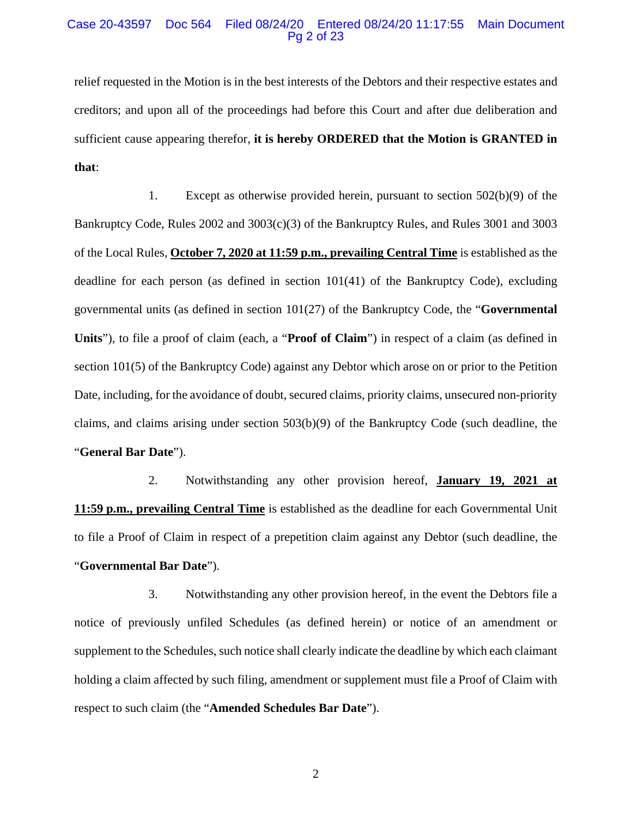#### Case 20-43597 Doc 564 Filed 08/24/20 Entered 08/24/20 11:17:55 Main Document Pg 2 of 23

relief requested in the Motion is in the best interests of the Debtors and their respective estates and creditors; and upon all of the proceedings had before this Court and after due deliberation and sufficient cause appearing therefor, **it is hereby ORDERED that the Motion is GRANTED in that**:

1. Except as otherwise provided herein, pursuant to section 502(b)(9) of the Bankruptcy Code, Rules 2002 and 3003(c)(3) of the Bankruptcy Rules, and Rules 3001 and 3003 of the Local Rules, **October 7, 2020 at 11:59 p.m., prevailing Central Time** is established as the deadline for each person (as defined in section  $101(41)$  of the Bankruptcy Code), excluding governmental units (as defined in section 101(27) of the Bankruptcy Code, the "**Governmental Units**"), to file a proof of claim (each, a "**Proof of Claim**") in respect of a claim (as defined in section 101(5) of the Bankruptcy Code) against any Debtor which arose on or prior to the Petition Date, including, for the avoidance of doubt, secured claims, priority claims, unsecured non-priority claims, and claims arising under section 503(b)(9) of the Bankruptcy Code (such deadline, the "**General Bar Date**").

2. Notwithstanding any other provision hereof, **January 19, 2021 at 11:59 p.m., prevailing Central Time** is established as the deadline for each Governmental Unit to file a Proof of Claim in respect of a prepetition claim against any Debtor (such deadline, the "**Governmental Bar Date**").

3. Notwithstanding any other provision hereof, in the event the Debtors file a notice of previously unfiled Schedules (as defined herein) or notice of an amendment or supplement to the Schedules, such notice shall clearly indicate the deadline by which each claimant holding a claim affected by such filing, amendment or supplement must file a Proof of Claim with respect to such claim (the "**Amended Schedules Bar Date**").

2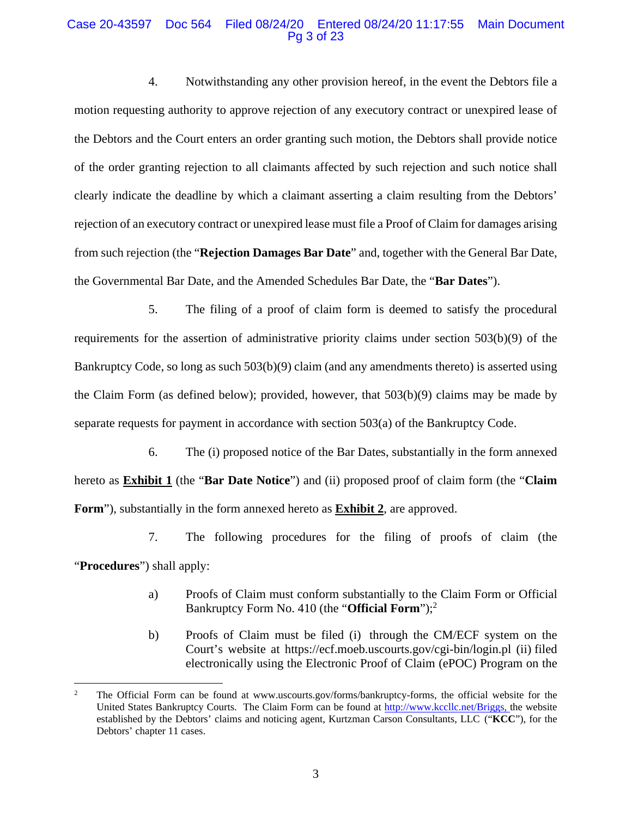## Case 20-43597 Doc 564 Filed 08/24/20 Entered 08/24/20 11:17:55 Main Document Pg 3 of 23

4. Notwithstanding any other provision hereof, in the event the Debtors file a motion requesting authority to approve rejection of any executory contract or unexpired lease of the Debtors and the Court enters an order granting such motion, the Debtors shall provide notice of the order granting rejection to all claimants affected by such rejection and such notice shall clearly indicate the deadline by which a claimant asserting a claim resulting from the Debtors' rejection of an executory contract or unexpired lease must file a Proof of Claim for damages arising from such rejection (the "**Rejection Damages Bar Date**" and, together with the General Bar Date, the Governmental Bar Date, and the Amended Schedules Bar Date, the "**Bar Dates**").

5. The filing of a proof of claim form is deemed to satisfy the procedural requirements for the assertion of administrative priority claims under section 503(b)(9) of the Bankruptcy Code, so long as such 503(b)(9) claim (and any amendments thereto) is asserted using the Claim Form (as defined below); provided, however, that  $503(b)(9)$  claims may be made by separate requests for payment in accordance with section 503(a) of the Bankruptcy Code.

6. The (i) proposed notice of the Bar Dates, substantially in the form annexed hereto as **Exhibit 1** (the "**Bar Date Notice**") and (ii) proposed proof of claim form (the "**Claim Form**"), substantially in the form annexed hereto as **Exhibit 2**, are approved.

7. The following procedures for the filing of proofs of claim (the

"**Procedures**") shall apply:

- a) Proofs of Claim must conform substantially to the Claim Form or Official Bankruptcy Form No. 410 (the "**Official Form**");2
- b) Proofs of Claim must be filed (i) through the CM/ECF system on the Court's website at https://ecf.moeb.uscourts.gov/cgi-bin/login.pl (ii) filed electronically using the Electronic Proof of Claim (ePOC) Program on the

<sup>2</sup> The Official Form can be found at www.uscourts.gov/forms/bankruptcy-forms, the official website for the United States Bankruptcy Courts. The Claim Form can be found at http://www.kccllc.net/Briggs, the website established by the Debtors' claims and noticing agent, Kurtzman Carson Consultants, LLC ("**KCC**"), for the Debtors' chapter 11 cases.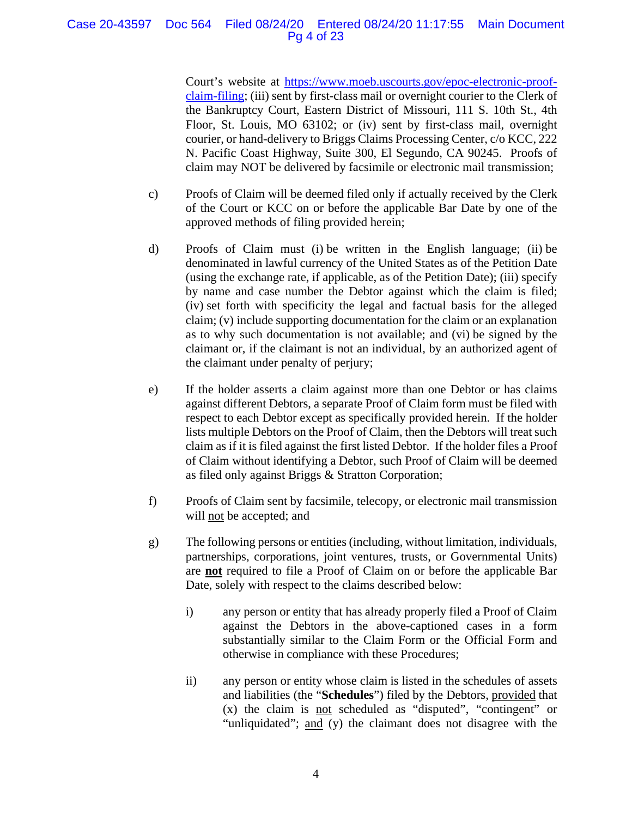## Case 20-43597 Doc 564 Filed 08/24/20 Entered 08/24/20 11:17:55 Main Document Pg 4 of 23

Court's website at https://www.moeb.uscourts.gov/epoc-electronic-proofclaim-filing; (iii) sent by first-class mail or overnight courier to the Clerk of the Bankruptcy Court, Eastern District of Missouri, 111 S. 10th St., 4th Floor, St. Louis, MO 63102; or (iv) sent by first-class mail, overnight courier, or hand-delivery to Briggs Claims Processing Center, c/o KCC, 222 N. Pacific Coast Highway, Suite 300, El Segundo, CA 90245. Proofs of claim may NOT be delivered by facsimile or electronic mail transmission;

- c) Proofs of Claim will be deemed filed only if actually received by the Clerk of the Court or KCC on or before the applicable Bar Date by one of the approved methods of filing provided herein;
- d) Proofs of Claim must (i) be written in the English language; (ii) be denominated in lawful currency of the United States as of the Petition Date (using the exchange rate, if applicable, as of the Petition Date); (iii) specify by name and case number the Debtor against which the claim is filed; (iv) set forth with specificity the legal and factual basis for the alleged claim; (v) include supporting documentation for the claim or an explanation as to why such documentation is not available; and (vi) be signed by the claimant or, if the claimant is not an individual, by an authorized agent of the claimant under penalty of perjury;
- e) If the holder asserts a claim against more than one Debtor or has claims against different Debtors, a separate Proof of Claim form must be filed with respect to each Debtor except as specifically provided herein. If the holder lists multiple Debtors on the Proof of Claim, then the Debtors will treat such claim as if it is filed against the first listed Debtor. If the holder files a Proof of Claim without identifying a Debtor, such Proof of Claim will be deemed as filed only against Briggs & Stratton Corporation;
- f) Proofs of Claim sent by facsimile, telecopy, or electronic mail transmission will not be accepted; and
- g) The following persons or entities (including, without limitation, individuals, partnerships, corporations, joint ventures, trusts, or Governmental Units) are **not** required to file a Proof of Claim on or before the applicable Bar Date, solely with respect to the claims described below:
	- i) any person or entity that has already properly filed a Proof of Claim against the Debtors in the above-captioned cases in a form substantially similar to the Claim Form or the Official Form and otherwise in compliance with these Procedures;
	- ii) any person or entity whose claim is listed in the schedules of assets and liabilities (the "**Schedules**") filed by the Debtors, provided that (x) the claim is not scheduled as "disputed", "contingent" or "unliquidated"; and (y) the claimant does not disagree with the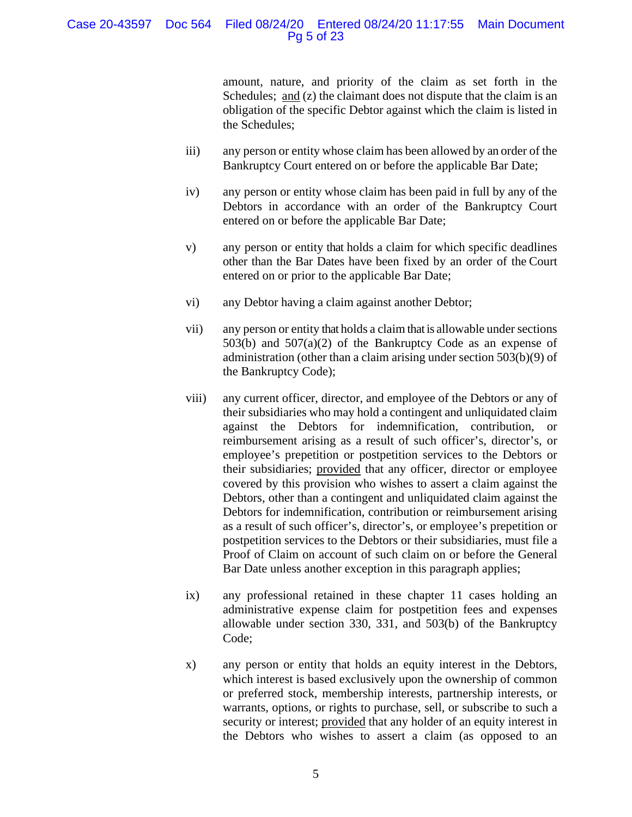## Case 20-43597 Doc 564 Filed 08/24/20 Entered 08/24/20 11:17:55 Main Document Pg 5 of 23

amount, nature, and priority of the claim as set forth in the Schedules; and (z) the claimant does not dispute that the claim is an obligation of the specific Debtor against which the claim is listed in the Schedules;

- iii) any person or entity whose claim has been allowed by an order of the Bankruptcy Court entered on or before the applicable Bar Date;
- iv) any person or entity whose claim has been paid in full by any of the Debtors in accordance with an order of the Bankruptcy Court entered on or before the applicable Bar Date;
- v) any person or entity that holds a claim for which specific deadlines other than the Bar Dates have been fixed by an order of the Court entered on or prior to the applicable Bar Date;
- vi) any Debtor having a claim against another Debtor;
- vii) any person or entity that holds a claim that is allowable under sections 503(b) and 507(a)(2) of the Bankruptcy Code as an expense of administration (other than a claim arising under section 503(b)(9) of the Bankruptcy Code);
- viii) any current officer, director, and employee of the Debtors or any of their subsidiaries who may hold a contingent and unliquidated claim against the Debtors for indemnification, contribution, or reimbursement arising as a result of such officer's, director's, or employee's prepetition or postpetition services to the Debtors or their subsidiaries; provided that any officer, director or employee covered by this provision who wishes to assert a claim against the Debtors, other than a contingent and unliquidated claim against the Debtors for indemnification, contribution or reimbursement arising as a result of such officer's, director's, or employee's prepetition or postpetition services to the Debtors or their subsidiaries, must file a Proof of Claim on account of such claim on or before the General Bar Date unless another exception in this paragraph applies;
- ix) any professional retained in these chapter 11 cases holding an administrative expense claim for postpetition fees and expenses allowable under section 330, 331, and 503(b) of the Bankruptcy Code;
- x) any person or entity that holds an equity interest in the Debtors, which interest is based exclusively upon the ownership of common or preferred stock, membership interests, partnership interests, or warrants, options, or rights to purchase, sell, or subscribe to such a security or interest; provided that any holder of an equity interest in the Debtors who wishes to assert a claim (as opposed to an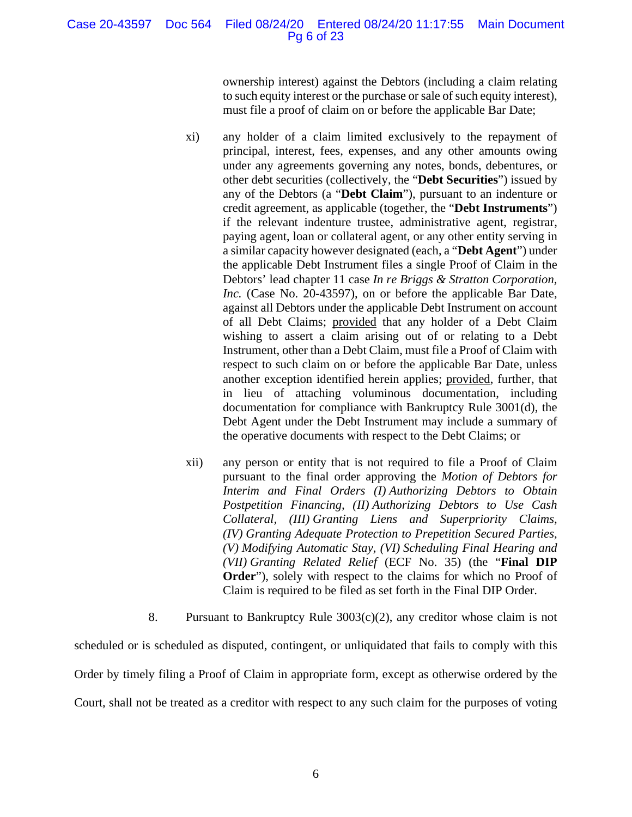## Case 20-43597 Doc 564 Filed 08/24/20 Entered 08/24/20 11:17:55 Main Document Pg 6 of 23

ownership interest) against the Debtors (including a claim relating to such equity interest or the purchase or sale of such equity interest), must file a proof of claim on or before the applicable Bar Date;

- xi) any holder of a claim limited exclusively to the repayment of principal, interest, fees, expenses, and any other amounts owing under any agreements governing any notes, bonds, debentures, or other debt securities (collectively, the "**Debt Securities**") issued by any of the Debtors (a "**Debt Claim**"), pursuant to an indenture or credit agreement, as applicable (together, the "**Debt Instruments**") if the relevant indenture trustee, administrative agent, registrar, paying agent, loan or collateral agent, or any other entity serving in a similar capacity however designated (each, a "**Debt Agent**") under the applicable Debt Instrument files a single Proof of Claim in the Debtors' lead chapter 11 case *In re Briggs & Stratton Corporation, Inc.* (Case No. 20-43597), on or before the applicable Bar Date, against all Debtors under the applicable Debt Instrument on account of all Debt Claims; provided that any holder of a Debt Claim wishing to assert a claim arising out of or relating to a Debt Instrument, other than a Debt Claim, must file a Proof of Claim with respect to such claim on or before the applicable Bar Date, unless another exception identified herein applies; provided, further, that in lieu of attaching voluminous documentation, including documentation for compliance with Bankruptcy Rule 3001(d), the Debt Agent under the Debt Instrument may include a summary of the operative documents with respect to the Debt Claims; or
- xii) any person or entity that is not required to file a Proof of Claim pursuant to the final order approving the *Motion of Debtors for Interim and Final Orders (I) Authorizing Debtors to Obtain Postpetition Financing, (II) Authorizing Debtors to Use Cash Collateral, (III) Granting Liens and Superpriority Claims, (IV) Granting Adequate Protection to Prepetition Secured Parties, (V) Modifying Automatic Stay, (VI) Scheduling Final Hearing and (VII) Granting Related Relief* (ECF No. 35) (the "**Final DIP Order**"), solely with respect to the claims for which no Proof of Claim is required to be filed as set forth in the Final DIP Order.
- 8. Pursuant to Bankruptcy Rule 3003(c)(2), any creditor whose claim is not

scheduled or is scheduled as disputed, contingent, or unliquidated that fails to comply with this Order by timely filing a Proof of Claim in appropriate form, except as otherwise ordered by the Court, shall not be treated as a creditor with respect to any such claim for the purposes of voting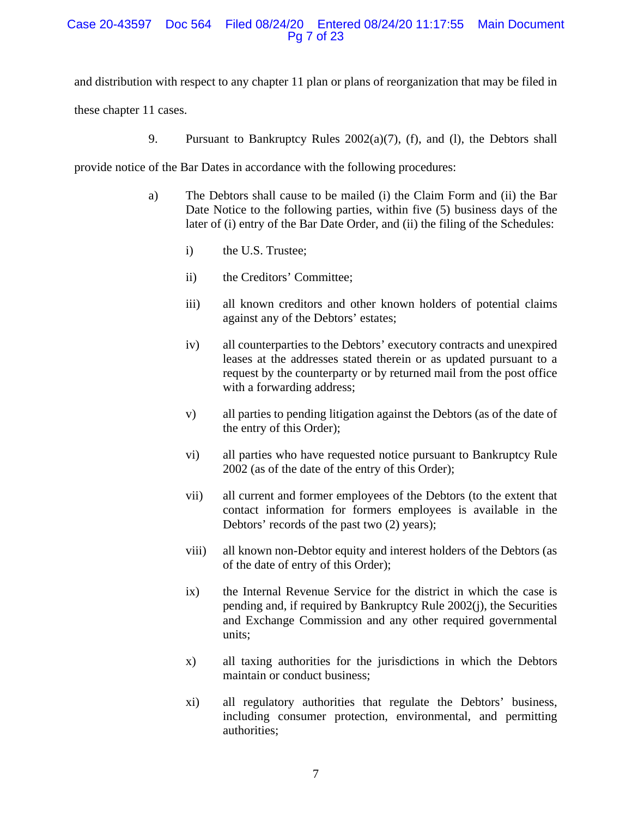## Case 20-43597 Doc 564 Filed 08/24/20 Entered 08/24/20 11:17:55 Main Document Pg 7 of 23

and distribution with respect to any chapter 11 plan or plans of reorganization that may be filed in

these chapter 11 cases.

9. Pursuant to Bankruptcy Rules 2002(a)(7), (f), and (l), the Debtors shall

provide notice of the Bar Dates in accordance with the following procedures:

- a) The Debtors shall cause to be mailed (i) the Claim Form and (ii) the Bar Date Notice to the following parties, within five (5) business days of the later of (i) entry of the Bar Date Order, and (ii) the filing of the Schedules:
	- i) the U.S. Trustee;
	- ii) the Creditors' Committee;
	- iii) all known creditors and other known holders of potential claims against any of the Debtors' estates;
	- iv) all counterparties to the Debtors' executory contracts and unexpired leases at the addresses stated therein or as updated pursuant to a request by the counterparty or by returned mail from the post office with a forwarding address;
	- v) all parties to pending litigation against the Debtors (as of the date of the entry of this Order);
	- vi) all parties who have requested notice pursuant to Bankruptcy Rule 2002 (as of the date of the entry of this Order);
	- vii) all current and former employees of the Debtors (to the extent that contact information for formers employees is available in the Debtors' records of the past two (2) years);
	- viii) all known non-Debtor equity and interest holders of the Debtors (as of the date of entry of this Order);
	- ix) the Internal Revenue Service for the district in which the case is pending and, if required by Bankruptcy Rule 2002(j), the Securities and Exchange Commission and any other required governmental units;
	- x) all taxing authorities for the jurisdictions in which the Debtors maintain or conduct business;
	- xi) all regulatory authorities that regulate the Debtors' business, including consumer protection, environmental, and permitting authorities;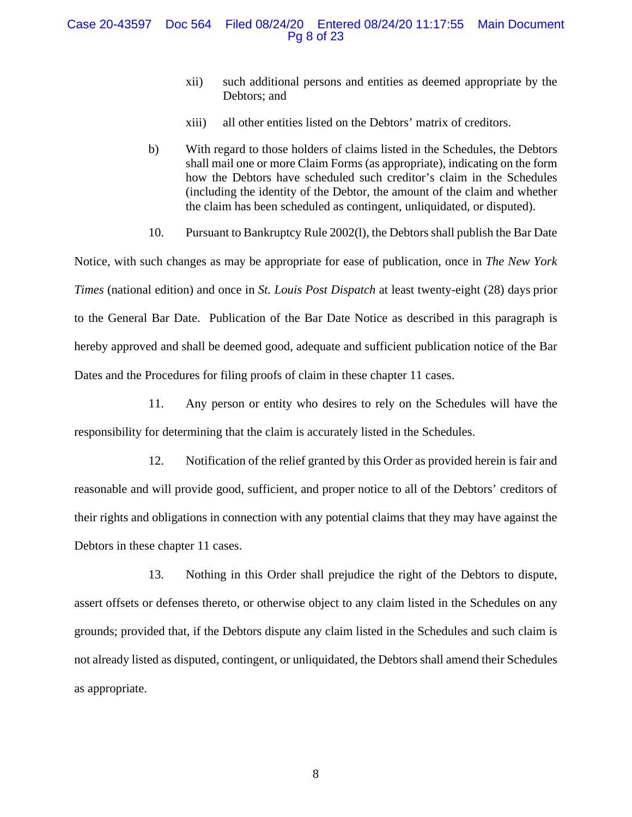## Case 20-43597 Doc 564 Filed 08/24/20 Entered 08/24/20 11:17:55 Main Document Pg 8 of 23

- xii) such additional persons and entities as deemed appropriate by the Debtors; and
- xiii) all other entities listed on the Debtors' matrix of creditors.
- b) With regard to those holders of claims listed in the Schedules, the Debtors shall mail one or more Claim Forms (as appropriate), indicating on the form how the Debtors have scheduled such creditor's claim in the Schedules (including the identity of the Debtor, the amount of the claim and whether the claim has been scheduled as contingent, unliquidated, or disputed).
- 10. Pursuant to Bankruptcy Rule 2002(l), the Debtors shall publish the Bar Date

Notice, with such changes as may be appropriate for ease of publication, once in *The New York Times* (national edition) and once in *St. Louis Post Dispatch* at least twenty-eight (28) days prior to the General Bar Date. Publication of the Bar Date Notice as described in this paragraph is hereby approved and shall be deemed good, adequate and sufficient publication notice of the Bar Dates and the Procedures for filing proofs of claim in these chapter 11 cases.

11. Any person or entity who desires to rely on the Schedules will have the responsibility for determining that the claim is accurately listed in the Schedules.

12. Notification of the relief granted by this Order as provided herein is fair and reasonable and will provide good, sufficient, and proper notice to all of the Debtors' creditors of their rights and obligations in connection with any potential claims that they may have against the Debtors in these chapter 11 cases.

13. Nothing in this Order shall prejudice the right of the Debtors to dispute, assert offsets or defenses thereto, or otherwise object to any claim listed in the Schedules on any grounds; provided that, if the Debtors dispute any claim listed in the Schedules and such claim is not already listed as disputed, contingent, or unliquidated, the Debtors shall amend their Schedules as appropriate.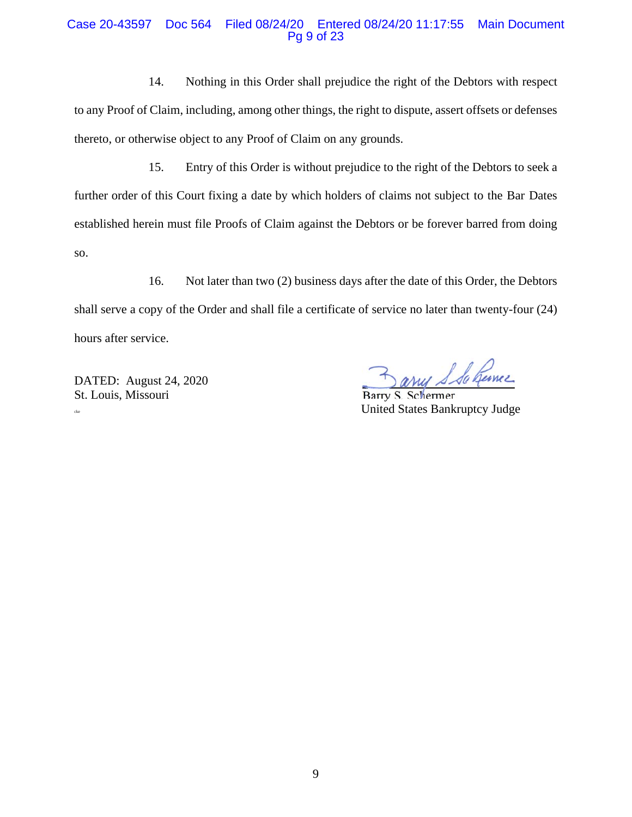## Case 20-43597 Doc 564 Filed 08/24/20 Entered 08/24/20 11:17:55 Main Document Pg 9 of 23

14. Nothing in this Order shall prejudice the right of the Debtors with respect to any Proof of Claim, including, among other things, the right to dispute, assert offsets or defenses thereto, or otherwise object to any Proof of Claim on any grounds.

15. Entry of this Order is without prejudice to the right of the Debtors to seek a further order of this Court fixing a date by which holders of claims not subject to the Bar Dates established herein must file Proofs of Claim against the Debtors or be forever barred from doing so.

16. Not later than two (2) business days after the date of this Order, the Debtors shall serve a copy of the Order and shall file a certificate of service no later than twenty-four (24) hours after service.

DATED: August 24, 2020 St. Louis, Missouri Barry S. Schermer

arres S Sa Gernie

cke United States Bankruptcy Judge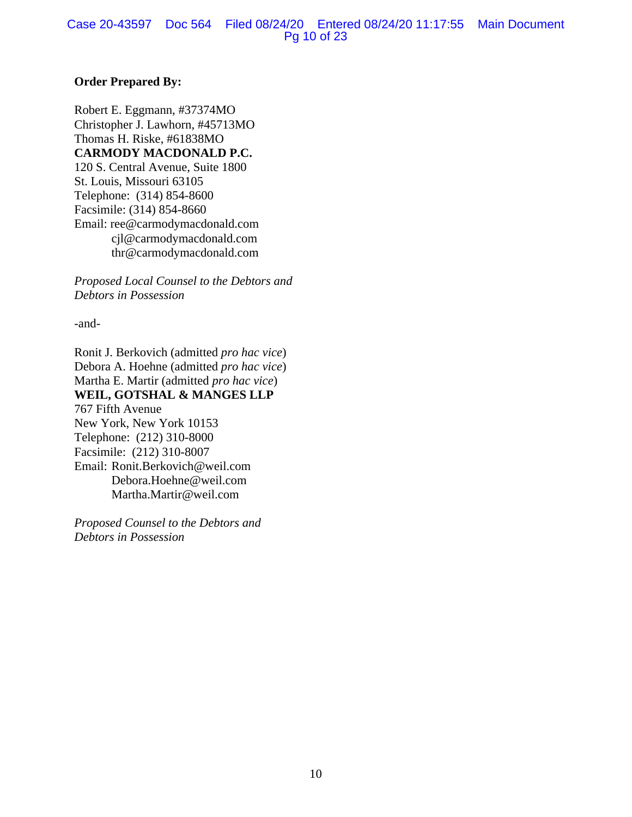## **Order Prepared By:**

Robert E. Eggmann, #37374MO Christopher J. Lawhorn, #45713MO Thomas H. Riske, #61838MO **CARMODY MACDONALD P.C.**  120 S. Central Avenue, Suite 1800 St. Louis, Missouri 63105 Telephone: (314) 854-8600 Facsimile: (314) 854-8660 Email: ree@carmodymacdonald.com cjl@carmodymacdonald.com thr@carmodymacdonald.com

*Proposed Local Counsel to the Debtors and Debtors in Possession*

-and-

Ronit J. Berkovich (admitted *pro hac vice*) Debora A. Hoehne (admitted *pro hac vice*) Martha E. Martir (admitted *pro hac vice*) **WEIL, GOTSHAL & MANGES LLP**  767 Fifth Avenue New York, New York 10153 Telephone: (212) 310-8000 Facsimile: (212) 310-8007 Email: Ronit.Berkovich@weil.com Debora.Hoehne@weil.com Martha.Martir@weil.com

*Proposed Counsel to the Debtors and Debtors in Possession*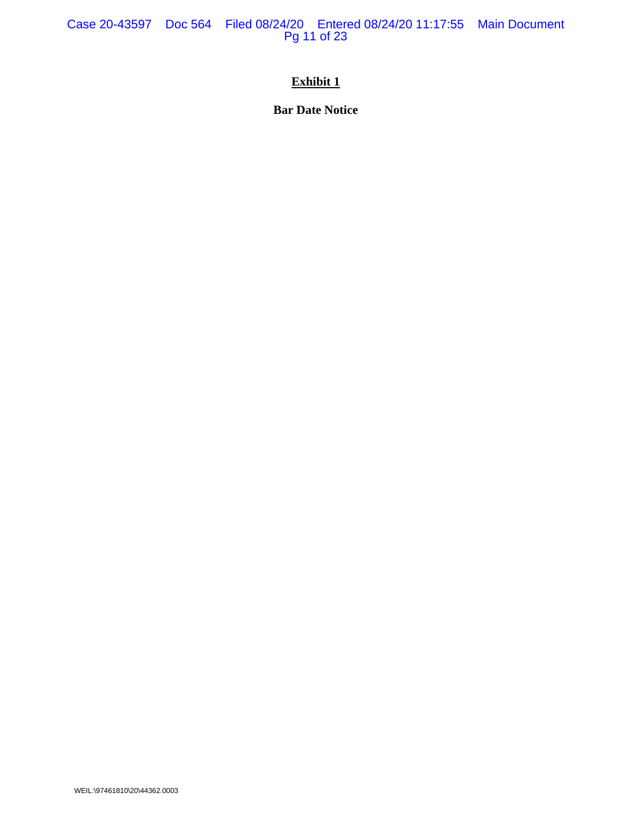Case 20-43597 Doc 564 Filed 08/24/20 Entered 08/24/20 11:17:55 Main Document Pg 11 of 23

# **Exhibit 1**

**Bar Date Notice**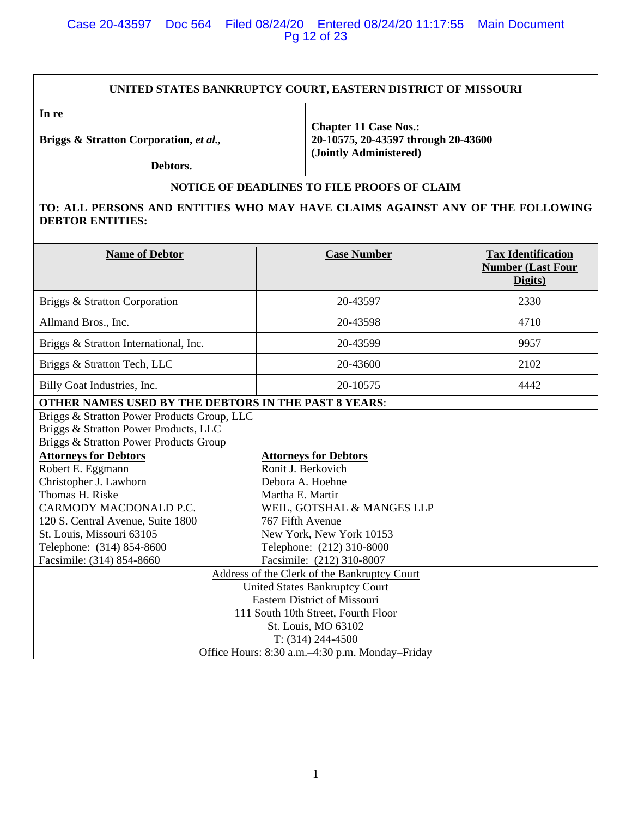## Case 20-43597 Doc 564 Filed 08/24/20 Entered 08/24/20 11:17:55 Main Document Pg 12 of 23

#### **UNITED STATES BANKRUPTCY COURT, EASTERN DISTRICT OF MISSOURI**

**In re** 

**Briggs & Stratton Corporation,** *et al.,* 

**Chapter 11 Case Nos.: 20-10575, 20-43597 through 20-43600 (Jointly Administered)** 

 **Debtors.** 

## **NOTICE OF DEADLINES TO FILE PROOFS OF CLAIM**

## **TO: ALL PERSONS AND ENTITIES WHO MAY HAVE CLAIMS AGAINST ANY OF THE FOLLOWING DEBTOR ENTITIES:**

| <b>Name of Debtor</b>                                                                                                          | <b>Case Number</b>                              | <b>Tax Identification</b><br><b>Number (Last Four</b><br>Digits) |
|--------------------------------------------------------------------------------------------------------------------------------|-------------------------------------------------|------------------------------------------------------------------|
| Briggs & Stratton Corporation                                                                                                  | 20-43597                                        | 2330                                                             |
| Allmand Bros., Inc.                                                                                                            | 20-43598                                        | 4710                                                             |
| Briggs & Stratton International, Inc.                                                                                          | 20-43599                                        | 9957                                                             |
| Briggs & Stratton Tech, LLC                                                                                                    | 20-43600                                        | 2102                                                             |
| Billy Goat Industries, Inc.                                                                                                    | 20-10575                                        | 4442                                                             |
| OTHER NAMES USED BY THE DEBTORS IN THE PAST 8 YEARS:                                                                           |                                                 |                                                                  |
| Briggs & Stratton Power Products Group, LLC<br>Briggs & Stratton Power Products, LLC<br>Briggs & Stratton Power Products Group |                                                 |                                                                  |
| <b>Attorneys for Debtors</b>                                                                                                   | <b>Attorneys for Debtors</b>                    |                                                                  |
| Robert E. Eggmann                                                                                                              | Ronit J. Berkovich                              |                                                                  |
| Christopher J. Lawhorn                                                                                                         | Debora A. Hoehne                                |                                                                  |
| Thomas H. Riske                                                                                                                | Martha E. Martir                                |                                                                  |
| CARMODY MACDONALD P.C.                                                                                                         | WEIL, GOTSHAL & MANGES LLP                      |                                                                  |
| 120 S. Central Avenue, Suite 1800                                                                                              | 767 Fifth Avenue                                |                                                                  |
| St. Louis, Missouri 63105                                                                                                      | New York, New York 10153                        |                                                                  |
| Telephone: (314) 854-8600                                                                                                      | Telephone: (212) 310-8000                       |                                                                  |
| Facsimile: (314) 854-8660                                                                                                      | Facsimile: (212) 310-8007                       |                                                                  |
|                                                                                                                                | Address of the Clerk of the Bankruptcy Court    |                                                                  |
|                                                                                                                                | <b>United States Bankruptcy Court</b>           |                                                                  |
|                                                                                                                                | <b>Eastern District of Missouri</b>             |                                                                  |
|                                                                                                                                | 111 South 10th Street, Fourth Floor             |                                                                  |
|                                                                                                                                | St. Louis, MO 63102                             |                                                                  |
|                                                                                                                                | $T: (314) 244-4500$                             |                                                                  |
|                                                                                                                                | Office Hours: 8:30 a.m.-4:30 p.m. Monday-Friday |                                                                  |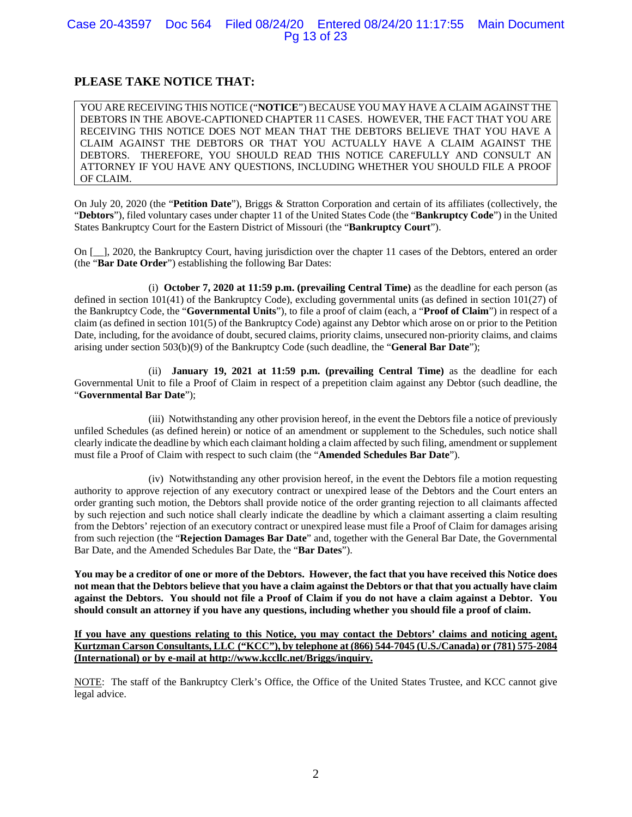## Case 20-43597 Doc 564 Filed 08/24/20 Entered 08/24/20 11:17:55 Main Document Pg 13 of 23

## **PLEASE TAKE NOTICE THAT:**

YOU ARE RECEIVING THIS NOTICE ("**NOTICE**") BECAUSE YOU MAY HAVE A CLAIM AGAINST THE DEBTORS IN THE ABOVE-CAPTIONED CHAPTER 11 CASES. HOWEVER, THE FACT THAT YOU ARE RECEIVING THIS NOTICE DOES NOT MEAN THAT THE DEBTORS BELIEVE THAT YOU HAVE A CLAIM AGAINST THE DEBTORS OR THAT YOU ACTUALLY HAVE A CLAIM AGAINST THE DEBTORS. THEREFORE, YOU SHOULD READ THIS NOTICE CAREFULLY AND CONSULT AN ATTORNEY IF YOU HAVE ANY QUESTIONS, INCLUDING WHETHER YOU SHOULD FILE A PROOF OF CLAIM.

On July 20, 2020 (the "**Petition Date**"), Briggs & Stratton Corporation and certain of its affiliates (collectively, the "**Debtors**"), filed voluntary cases under chapter 11 of the United States Code (the "**Bankruptcy Code**") in the United States Bankruptcy Court for the Eastern District of Missouri (the "**Bankruptcy Court**").

On [\_\_], 2020, the Bankruptcy Court, having jurisdiction over the chapter 11 cases of the Debtors, entered an order (the "**Bar Date Order**") establishing the following Bar Dates:

(i) **October 7, 2020 at 11:59 p.m. (prevailing Central Time)** as the deadline for each person (as defined in section 101(41) of the Bankruptcy Code), excluding governmental units (as defined in section 101(27) of the Bankruptcy Code, the "**Governmental Units**"), to file a proof of claim (each, a "**Proof of Claim**") in respect of a claim (as defined in section 101(5) of the Bankruptcy Code) against any Debtor which arose on or prior to the Petition Date, including, for the avoidance of doubt, secured claims, priority claims, unsecured non-priority claims, and claims arising under section 503(b)(9) of the Bankruptcy Code (such deadline, the "**General Bar Date**");

(ii) **January 19, 2021 at 11:59 p.m. (prevailing Central Time)** as the deadline for each Governmental Unit to file a Proof of Claim in respect of a prepetition claim against any Debtor (such deadline, the "**Governmental Bar Date**");

(iii) Notwithstanding any other provision hereof, in the event the Debtors file a notice of previously unfiled Schedules (as defined herein) or notice of an amendment or supplement to the Schedules, such notice shall clearly indicate the deadline by which each claimant holding a claim affected by such filing, amendment or supplement must file a Proof of Claim with respect to such claim (the "**Amended Schedules Bar Date**").

(iv) Notwithstanding any other provision hereof, in the event the Debtors file a motion requesting authority to approve rejection of any executory contract or unexpired lease of the Debtors and the Court enters an order granting such motion, the Debtors shall provide notice of the order granting rejection to all claimants affected by such rejection and such notice shall clearly indicate the deadline by which a claimant asserting a claim resulting from the Debtors' rejection of an executory contract or unexpired lease must file a Proof of Claim for damages arising from such rejection (the "**Rejection Damages Bar Date**" and, together with the General Bar Date, the Governmental Bar Date, and the Amended Schedules Bar Date, the "**Bar Dates**").

**You may be a creditor of one or more of the Debtors. However, the fact that you have received this Notice does not mean that the Debtors believe that you have a claim against the Debtors or that that you actually have claim against the Debtors. You should not file a Proof of Claim if you do not have a claim against a Debtor. You should consult an attorney if you have any questions, including whether you should file a proof of claim.** 

**If you have any questions relating to this Notice, you may contact the Debtors' claims and noticing agent, Kurtzman Carson Consultants, LLC ("KCC"), by telephone at (866) 544-7045 (U.S./Canada) or (781) 575-2084 (International) or by e-mail at http://www.kccllc.net/Briggs/inquiry.** 

NOTE: The staff of the Bankruptcy Clerk's Office, the Office of the United States Trustee, and KCC cannot give legal advice.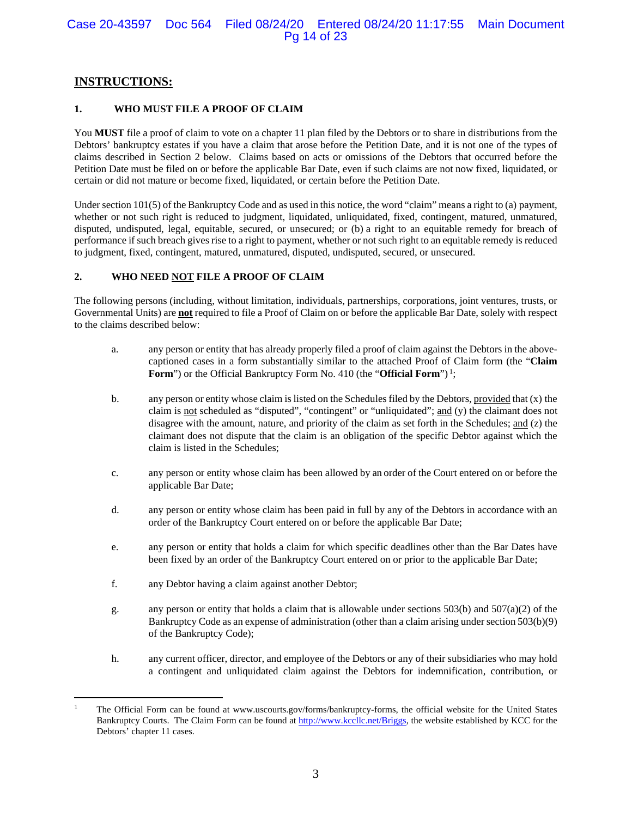## **INSTRUCTIONS:**

#### **1. WHO MUST FILE A PROOF OF CLAIM**

You **MUST** file a proof of claim to vote on a chapter 11 plan filed by the Debtors or to share in distributions from the Debtors' bankruptcy estates if you have a claim that arose before the Petition Date, and it is not one of the types of claims described in Section 2 below. Claims based on acts or omissions of the Debtors that occurred before the Petition Date must be filed on or before the applicable Bar Date, even if such claims are not now fixed, liquidated, or certain or did not mature or become fixed, liquidated, or certain before the Petition Date.

Under section  $101(5)$  of the Bankruptcy Code and as used in this notice, the word "claim" means a right to (a) payment, whether or not such right is reduced to judgment, liquidated, unliquidated, fixed, contingent, matured, unmatured, disputed, undisputed, legal, equitable, secured, or unsecured; or (b) a right to an equitable remedy for breach of performance if such breach gives rise to a right to payment, whether or not such right to an equitable remedy is reduced to judgment, fixed, contingent, matured, unmatured, disputed, undisputed, secured, or unsecured.

#### **2. WHO NEED NOT FILE A PROOF OF CLAIM**

The following persons (including, without limitation, individuals, partnerships, corporations, joint ventures, trusts, or Governmental Units) are **not** required to file a Proof of Claim on or before the applicable Bar Date, solely with respect to the claims described below:

- a. any person or entity that has already properly filed a proof of claim against the Debtors in the abovecaptioned cases in a form substantially similar to the attached Proof of Claim form (the "**Claim Form**") or the Official Bankruptcy Form No. 410 (the "**Official Form**")<sup>1</sup>;
- b. any person or entity whose claim is listed on the Schedules filed by the Debtors, provided that (x) the claim is not scheduled as "disputed", "contingent" or "unliquidated"; and (y) the claimant does not disagree with the amount, nature, and priority of the claim as set forth in the Schedules; and (z) the claimant does not dispute that the claim is an obligation of the specific Debtor against which the claim is listed in the Schedules;
- c. any person or entity whose claim has been allowed by an order of the Court entered on or before the applicable Bar Date;
- d. any person or entity whose claim has been paid in full by any of the Debtors in accordance with an order of the Bankruptcy Court entered on or before the applicable Bar Date;
- e. any person or entity that holds a claim for which specific deadlines other than the Bar Dates have been fixed by an order of the Bankruptcy Court entered on or prior to the applicable Bar Date;
- f. any Debtor having a claim against another Debtor;
- g. any person or entity that holds a claim that is allowable under sections 503(b) and 507(a)(2) of the Bankruptcy Code as an expense of administration (other than a claim arising under section 503(b)(9) of the Bankruptcy Code);
- h. any current officer, director, and employee of the Debtors or any of their subsidiaries who may hold a contingent and unliquidated claim against the Debtors for indemnification, contribution, or

<sup>1</sup> The Official Form can be found at www.uscourts.gov/forms/bankruptcy-forms, the official website for the United States Bankruptcy Courts. The Claim Form can be found at http://www.kccllc.net/Briggs, the website established by KCC for the Debtors' chapter 11 cases.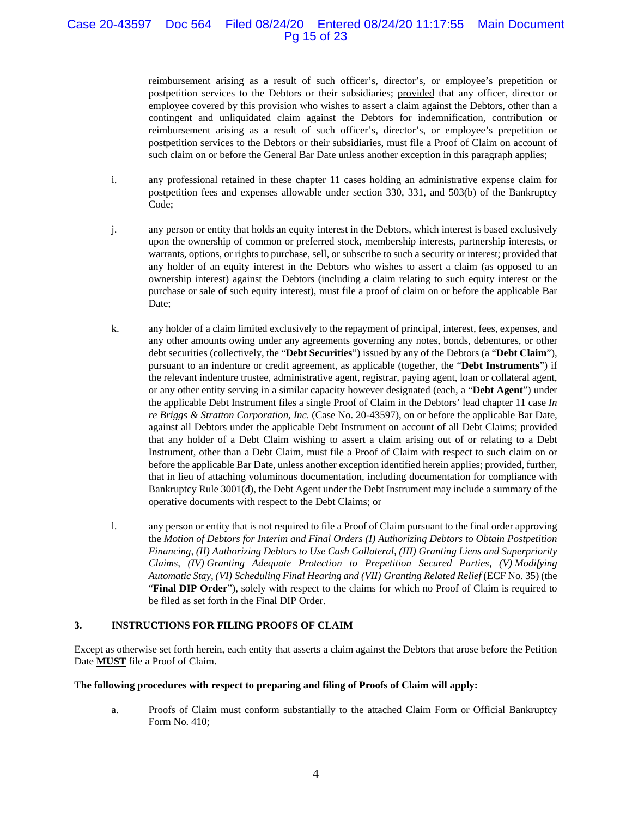## Case 20-43597 Doc 564 Filed 08/24/20 Entered 08/24/20 11:17:55 Main Document Pg 15 of 23

reimbursement arising as a result of such officer's, director's, or employee's prepetition or postpetition services to the Debtors or their subsidiaries; provided that any officer, director or employee covered by this provision who wishes to assert a claim against the Debtors, other than a contingent and unliquidated claim against the Debtors for indemnification, contribution or reimbursement arising as a result of such officer's, director's, or employee's prepetition or postpetition services to the Debtors or their subsidiaries, must file a Proof of Claim on account of such claim on or before the General Bar Date unless another exception in this paragraph applies;

- i. any professional retained in these chapter 11 cases holding an administrative expense claim for postpetition fees and expenses allowable under section 330, 331, and 503(b) of the Bankruptcy Code;
- j. any person or entity that holds an equity interest in the Debtors, which interest is based exclusively upon the ownership of common or preferred stock, membership interests, partnership interests, or warrants, options, or rights to purchase, sell, or subscribe to such a security or interest; provided that any holder of an equity interest in the Debtors who wishes to assert a claim (as opposed to an ownership interest) against the Debtors (including a claim relating to such equity interest or the purchase or sale of such equity interest), must file a proof of claim on or before the applicable Bar Date;
- k. any holder of a claim limited exclusively to the repayment of principal, interest, fees, expenses, and any other amounts owing under any agreements governing any notes, bonds, debentures, or other debt securities (collectively, the "**Debt Securities**") issued by any of the Debtors (a "**Debt Claim**"), pursuant to an indenture or credit agreement, as applicable (together, the "**Debt Instruments**") if the relevant indenture trustee, administrative agent, registrar, paying agent, loan or collateral agent, or any other entity serving in a similar capacity however designated (each, a "**Debt Agent**") under the applicable Debt Instrument files a single Proof of Claim in the Debtors' lead chapter 11 case *In re Briggs & Stratton Corporation, Inc.* (Case No. 20-43597), on or before the applicable Bar Date, against all Debtors under the applicable Debt Instrument on account of all Debt Claims; provided that any holder of a Debt Claim wishing to assert a claim arising out of or relating to a Debt Instrument, other than a Debt Claim, must file a Proof of Claim with respect to such claim on or before the applicable Bar Date, unless another exception identified herein applies; provided, further, that in lieu of attaching voluminous documentation, including documentation for compliance with Bankruptcy Rule 3001(d), the Debt Agent under the Debt Instrument may include a summary of the operative documents with respect to the Debt Claims; or
- l. any person or entity that is not required to file a Proof of Claim pursuant to the final order approving the *Motion of Debtors for Interim and Final Orders (I) Authorizing Debtors to Obtain Postpetition Financing, (II) Authorizing Debtors to Use Cash Collateral, (III) Granting Liens and Superpriority Claims, (IV) Granting Adequate Protection to Prepetition Secured Parties, (V) Modifying Automatic Stay, (VI) Scheduling Final Hearing and (VII) Granting Related Relief* (ECF No. 35) (the "**Final DIP Order**"), solely with respect to the claims for which no Proof of Claim is required to be filed as set forth in the Final DIP Order.

#### **3. INSTRUCTIONS FOR FILING PROOFS OF CLAIM**

Except as otherwise set forth herein, each entity that asserts a claim against the Debtors that arose before the Petition Date **MUST** file a Proof of Claim.

#### **The following procedures with respect to preparing and filing of Proofs of Claim will apply:**

a. Proofs of Claim must conform substantially to the attached Claim Form or Official Bankruptcy Form No. 410;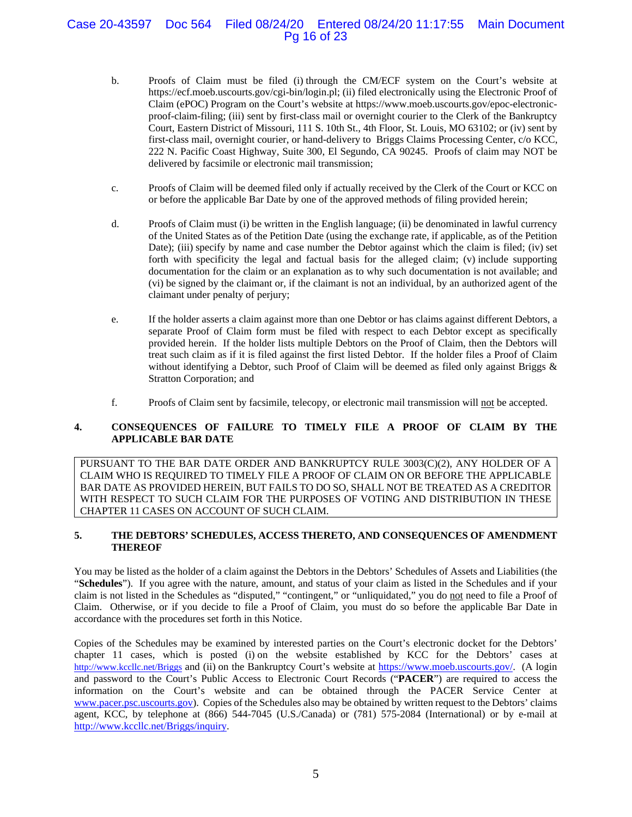## Case 20-43597 Doc 564 Filed 08/24/20 Entered 08/24/20 11:17:55 Main Document Pg 16 of 23

- b. Proofs of Claim must be filed (i) through the CM/ECF system on the Court's website at https://ecf.moeb.uscourts.gov/cgi-bin/login.pl; (ii) filed electronically using the Electronic Proof of Claim (ePOC) Program on the Court's website at https://www.moeb.uscourts.gov/epoc-electronicproof-claim-filing; (iii) sent by first-class mail or overnight courier to the Clerk of the Bankruptcy Court, Eastern District of Missouri, 111 S. 10th St., 4th Floor, St. Louis, MO 63102; or (iv) sent by first-class mail, overnight courier, or hand-delivery to Briggs Claims Processing Center, c/o KCC, 222 N. Pacific Coast Highway, Suite 300, El Segundo, CA 90245. Proofs of claim may NOT be delivered by facsimile or electronic mail transmission;
- c. Proofs of Claim will be deemed filed only if actually received by the Clerk of the Court or KCC on or before the applicable Bar Date by one of the approved methods of filing provided herein;
- d. Proofs of Claim must (i) be written in the English language; (ii) be denominated in lawful currency of the United States as of the Petition Date (using the exchange rate, if applicable, as of the Petition Date); (iii) specify by name and case number the Debtor against which the claim is filed; (iv) set forth with specificity the legal and factual basis for the alleged claim; (v) include supporting documentation for the claim or an explanation as to why such documentation is not available; and (vi) be signed by the claimant or, if the claimant is not an individual, by an authorized agent of the claimant under penalty of perjury;
- e. If the holder asserts a claim against more than one Debtor or has claims against different Debtors, a separate Proof of Claim form must be filed with respect to each Debtor except as specifically provided herein. If the holder lists multiple Debtors on the Proof of Claim, then the Debtors will treat such claim as if it is filed against the first listed Debtor. If the holder files a Proof of Claim without identifying a Debtor, such Proof of Claim will be deemed as filed only against Briggs & Stratton Corporation; and
- f. Proofs of Claim sent by facsimile, telecopy, or electronic mail transmission will not be accepted.

### **4. CONSEQUENCES OF FAILURE TO TIMELY FILE A PROOF OF CLAIM BY THE APPLICABLE BAR DATE**

PURSUANT TO THE BAR DATE ORDER AND BANKRUPTCY RULE 3003(C)(2), ANY HOLDER OF A CLAIM WHO IS REQUIRED TO TIMELY FILE A PROOF OF CLAIM ON OR BEFORE THE APPLICABLE BAR DATE AS PROVIDED HEREIN, BUT FAILS TO DO SO, SHALL NOT BE TREATED AS A CREDITOR WITH RESPECT TO SUCH CLAIM FOR THE PURPOSES OF VOTING AND DISTRIBUTION IN THESE CHAPTER 11 CASES ON ACCOUNT OF SUCH CLAIM.

### **5. THE DEBTORS' SCHEDULES, ACCESS THERETO, AND CONSEQUENCES OF AMENDMENT THEREOF**

You may be listed as the holder of a claim against the Debtors in the Debtors' Schedules of Assets and Liabilities (the "**Schedules**"). If you agree with the nature, amount, and status of your claim as listed in the Schedules and if your claim is not listed in the Schedules as "disputed," "contingent," or "unliquidated," you do not need to file a Proof of Claim. Otherwise, or if you decide to file a Proof of Claim, you must do so before the applicable Bar Date in accordance with the procedures set forth in this Notice.

Copies of the Schedules may be examined by interested parties on the Court's electronic docket for the Debtors' chapter 11 cases, which is posted (i) on the website established by KCC for the Debtors' cases at http://www.kccllc.net/Briggs and (ii) on the Bankruptcy Court's website at https://www.moeb.uscourts.gov/. (A login and password to the Court's Public Access to Electronic Court Records ("**PACER**") are required to access the information on the Court's website and can be obtained through the PACER Service Center at www.pacer.psc.uscourts.gov). Copies of the Schedules also may be obtained by written request to the Debtors' claims agent, KCC, by telephone at (866) 544-7045 (U.S./Canada) or (781) 575-2084 (International) or by e-mail at http://www.kccllc.net/Briggs/inquiry.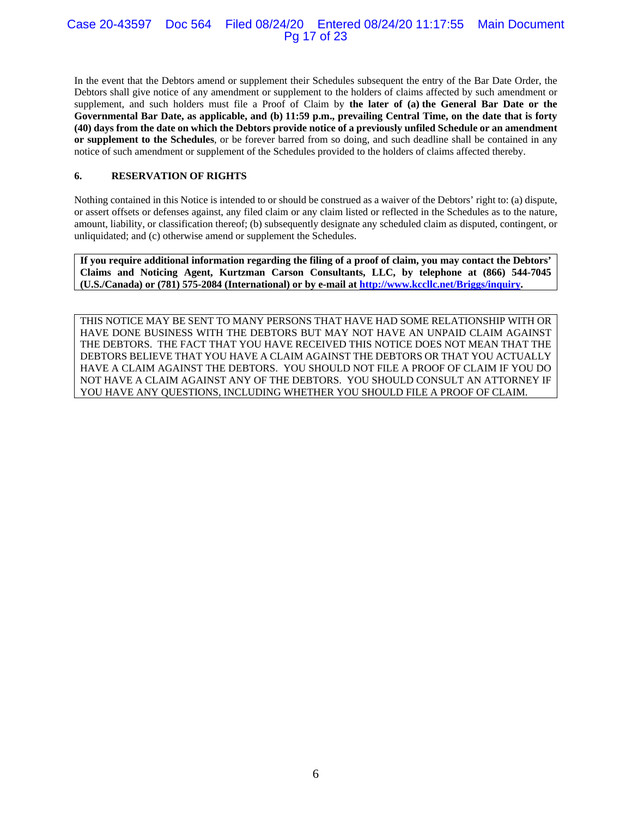### Case 20-43597 Doc 564 Filed 08/24/20 Entered 08/24/20 11:17:55 Main Document Pg 17 of 23

In the event that the Debtors amend or supplement their Schedules subsequent the entry of the Bar Date Order, the Debtors shall give notice of any amendment or supplement to the holders of claims affected by such amendment or supplement, and such holders must file a Proof of Claim by **the later of (a) the General Bar Date or the Governmental Bar Date, as applicable, and (b) 11:59 p.m., prevailing Central Time, on the date that is forty (40) days from the date on which the Debtors provide notice of a previously unfiled Schedule or an amendment or supplement to the Schedules**, or be forever barred from so doing, and such deadline shall be contained in any notice of such amendment or supplement of the Schedules provided to the holders of claims affected thereby.

### **6. RESERVATION OF RIGHTS**

Nothing contained in this Notice is intended to or should be construed as a waiver of the Debtors' right to: (a) dispute, or assert offsets or defenses against, any filed claim or any claim listed or reflected in the Schedules as to the nature, amount, liability, or classification thereof; (b) subsequently designate any scheduled claim as disputed, contingent, or unliquidated; and (c) otherwise amend or supplement the Schedules.

**If you require additional information regarding the filing of a proof of claim, you may contact the Debtors' Claims and Noticing Agent, Kurtzman Carson Consultants, LLC, by telephone at (866) 544-7045 (U.S./Canada) or (781) 575-2084 (International) or by e-mail at http://www.kccllc.net/Briggs/inquiry.** 

THIS NOTICE MAY BE SENT TO MANY PERSONS THAT HAVE HAD SOME RELATIONSHIP WITH OR HAVE DONE BUSINESS WITH THE DEBTORS BUT MAY NOT HAVE AN UNPAID CLAIM AGAINST THE DEBTORS. THE FACT THAT YOU HAVE RECEIVED THIS NOTICE DOES NOT MEAN THAT THE DEBTORS BELIEVE THAT YOU HAVE A CLAIM AGAINST THE DEBTORS OR THAT YOU ACTUALLY HAVE A CLAIM AGAINST THE DEBTORS. YOU SHOULD NOT FILE A PROOF OF CLAIM IF YOU DO NOT HAVE A CLAIM AGAINST ANY OF THE DEBTORS. YOU SHOULD CONSULT AN ATTORNEY IF YOU HAVE ANY QUESTIONS, INCLUDING WHETHER YOU SHOULD FILE A PROOF OF CLAIM.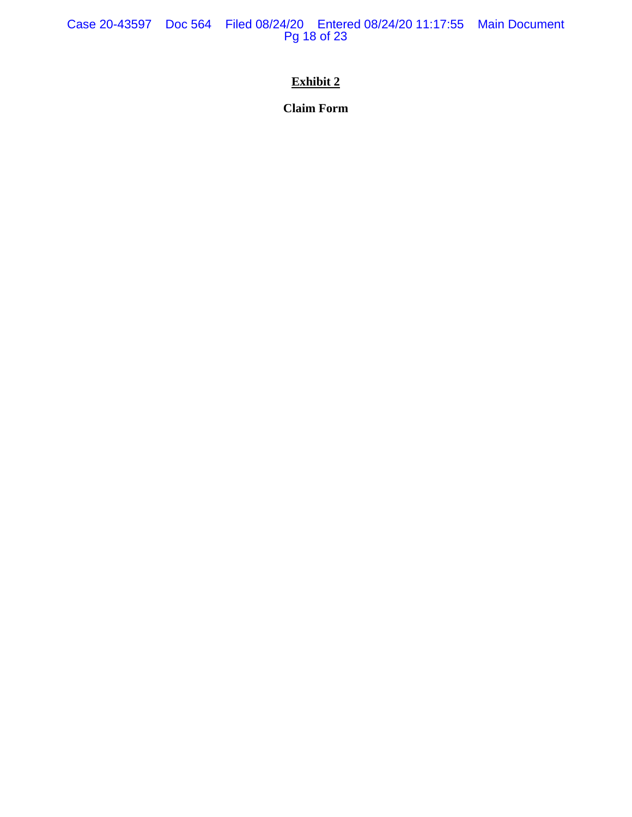Case 20-43597 Doc 564 Filed 08/24/20 Entered 08/24/20 11:17:55 Main Document Pg 18 of 23

# **Exhibit 2**

**Claim Form**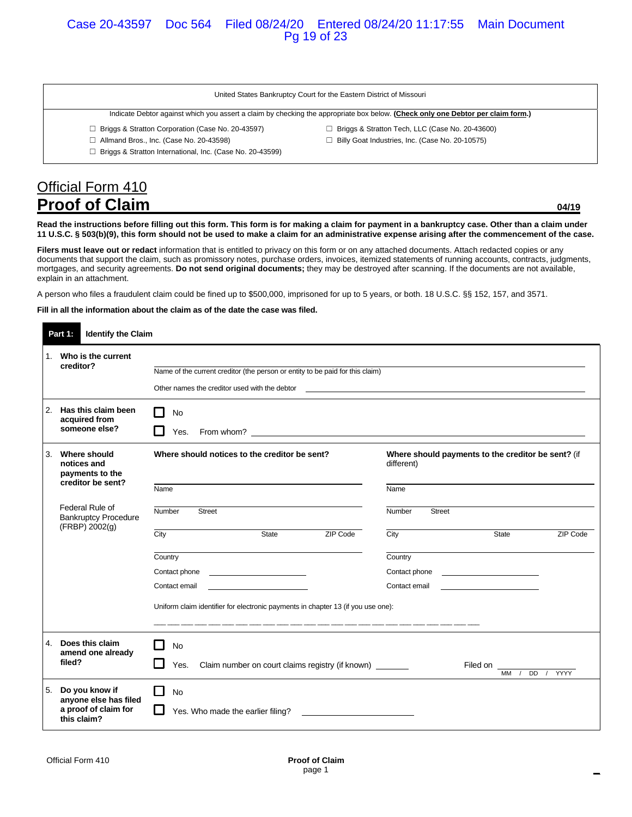#### United States Bankruptcy Court for the Eastern District of Missouri

☐ Briggs & Stratton Tech, LLC (Case No. 20-43600) ☐ Billy Goat Industries, Inc. (Case No. 20-10575)

#### Indicate Debtor against which you assert a claim by checking the appropriate box below. **(Check only one Debtor per claim form.)**

- ☐ Briggs & Stratton Corporation (Case No. 20-43597)
- ☐ Allmand Bros., Inc. (Case No. 20-43598)
- ☐ Briggs & Stratton International, Inc. (Case No. 20-43599)
- Official Form 410 **Proof of Claim 04/19 Proof of Claim**

**Read the instructions before filling out this form. This form is for making a claim for payment in a bankruptcy case. Other than a claim under 11 U.S.C. § 503(b)(9), this form should not be used to make a claim for an administrative expense arising after the commencement of the case.** 

**Filers must leave out or redact** information that is entitled to privacy on this form or on any attached documents. Attach redacted copies or any documents that support the claim, such as promissory notes, purchase orders, invoices, itemized statements of running accounts, contracts, judgments, mortgages, and security agreements. **Do not send original documents;** they may be destroyed after scanning. If the documents are not available, explain in an attachment.

A person who files a fraudulent claim could be fined up to \$500,000, imprisoned for up to 5 years, or both. 18 U.S.C. §§ 152, 157, and 3571.

**Fill in all the information about the claim as of the date the case was filed.** 

|    | <b>Identify the Claim</b><br>Part 1:                                           |                                                                                                                                                                                                                                                    |                                                                                                                       |
|----|--------------------------------------------------------------------------------|----------------------------------------------------------------------------------------------------------------------------------------------------------------------------------------------------------------------------------------------------|-----------------------------------------------------------------------------------------------------------------------|
|    | 1. Who is the current<br>creditor?                                             | Name of the current creditor (the person or entity to be paid for this claim)<br>Other names the creditor used with the debtor                                                                                                                     | <u> 1980 - Jan Barnett, mars ann an t-Alban ann an t-Alban ann an t-Alban ann an t-Alban ann an t-Alban ann an t-</u> |
|    | 2. Has this claim been<br>acquired from<br>someone else?                       | No<br>From whom? <u>the contract of the contract of the contract of the contract of the contract of the contract of the contract of the contract of the contract of the contract of the contract of the contract of the contract of th</u><br>Yes. |                                                                                                                       |
| 3. | Where should<br>notices and<br>payments to the                                 | Where should notices to the creditor be sent?                                                                                                                                                                                                      | Where should payments to the creditor be sent? (if<br>different)                                                      |
|    | creditor be sent?                                                              | Name                                                                                                                                                                                                                                               | Name                                                                                                                  |
|    | Federal Rule of<br><b>Bankruptcy Procedure</b><br>(FRBP) 2002(g)               | Number<br><b>Street</b>                                                                                                                                                                                                                            | Number<br>Street                                                                                                      |
|    |                                                                                | ZIP Code<br>City<br>State                                                                                                                                                                                                                          | City<br>State<br>ZIP Code                                                                                             |
|    |                                                                                | Country                                                                                                                                                                                                                                            | Country                                                                                                               |
|    |                                                                                | Contact phone<br><u> 1989 - Johann Barbara, martin a</u>                                                                                                                                                                                           | Contact phone                                                                                                         |
|    |                                                                                | Contact email                                                                                                                                                                                                                                      | Contact email                                                                                                         |
|    |                                                                                | Uniform claim identifier for electronic payments in chapter 13 (if you use one):                                                                                                                                                                   |                                                                                                                       |
|    | 4. Does this claim<br>amend one already<br>filed?                              | <b>No</b><br>Claim number on court claims registry (if known) _______<br>Yes.                                                                                                                                                                      | Filed on<br>YYYY<br>$MM$ /<br>DD /                                                                                    |
| 5. | Do you know if<br>anyone else has filed<br>a proof of claim for<br>this claim? | ΙI<br><b>No</b><br>Yes. Who made the earlier filing?                                                                                                                                                                                               |                                                                                                                       |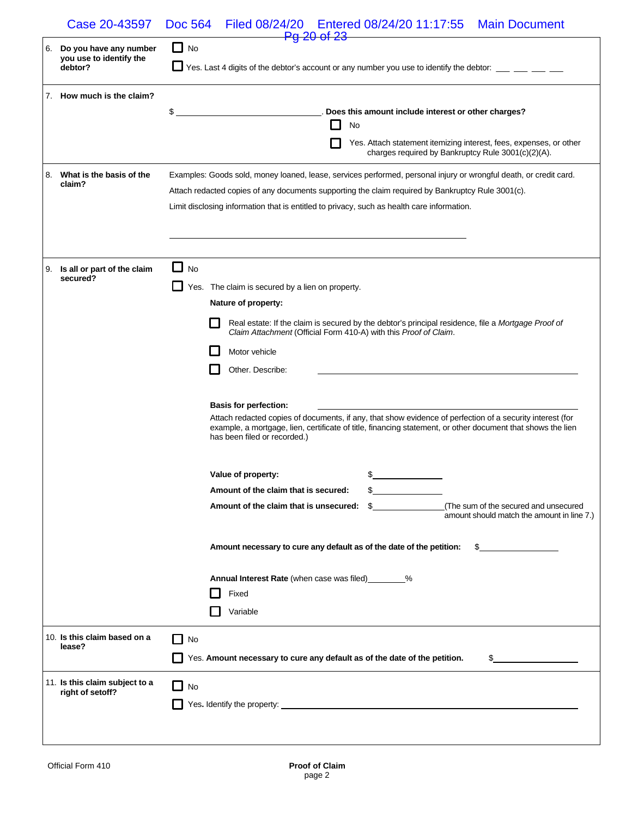|    | Case 20-43597                                      | Filed 08/24/20   Entered 08/24/20   11:17:55<br><b>Doc 564</b><br><b>Main Document</b><br><b>Pg 20 of 23</b>                                |
|----|----------------------------------------------------|---------------------------------------------------------------------------------------------------------------------------------------------|
| 6. | Do you have any number                             | $\Box$ No                                                                                                                                   |
|    | you use to identify the<br>debtor?                 | Yes. Last 4 digits of the debtor's account or any number you use to identify the debtor: __ __ __ __                                        |
|    |                                                    |                                                                                                                                             |
|    | 7. How much is the claim?                          |                                                                                                                                             |
|    |                                                    | \$<br>. Does this amount include interest or other charges?<br>No                                                                           |
|    |                                                    | Yes. Attach statement itemizing interest, fees, expenses, or other                                                                          |
|    |                                                    | charges required by Bankruptcy Rule 3001(c)(2)(A).                                                                                          |
|    | 8. What is the basis of the<br>claim?              | Examples: Goods sold, money loaned, lease, services performed, personal injury or wrongful death, or credit card.                           |
|    |                                                    | Attach redacted copies of any documents supporting the claim required by Bankruptcy Rule 3001(c).                                           |
|    |                                                    | Limit disclosing information that is entitled to privacy, such as health care information.                                                  |
|    |                                                    |                                                                                                                                             |
|    |                                                    |                                                                                                                                             |
| 9. | Is all or part of the claim                        | $\Box$ No                                                                                                                                   |
|    | secured?                                           | Yes. The claim is secured by a lien on property.                                                                                            |
|    |                                                    | Nature of property:                                                                                                                         |
|    |                                                    | Real estate: If the claim is secured by the debtor's principal residence, file a Mortgage Proof of                                          |
|    |                                                    | Claim Attachment (Official Form 410-A) with this Proof of Claim.                                                                            |
|    |                                                    | Motor vehicle                                                                                                                               |
|    |                                                    | Other. Describe:                                                                                                                            |
|    |                                                    |                                                                                                                                             |
|    |                                                    | <b>Basis for perfection:</b><br>Attach redacted copies of documents, if any, that show evidence of perfection of a security interest (for   |
|    |                                                    | example, a mortgage, lien, certificate of title, financing statement, or other document that shows the lien<br>has been filed or recorded.) |
|    |                                                    | \$<br>Value of property:                                                                                                                    |
|    |                                                    | Amount of the claim that is secured:                                                                                                        |
|    |                                                    | (The sum of the secured and unsecured<br>Amount of the claim that is unsecured:<br>S.<br>amount should match the amount in line 7.)         |
|    |                                                    | Amount necessary to cure any default as of the date of the petition:<br>$\sim$ 5                                                            |
|    |                                                    | Annual Interest Rate (when case was filed) ________%<br>Fixed                                                                               |
|    |                                                    | Variable                                                                                                                                    |
|    | 10. Is this claim based on a                       | No                                                                                                                                          |
|    | lease?                                             |                                                                                                                                             |
|    |                                                    | Yes. Amount necessary to cure any default as of the date of the petition.<br>$\frac{1}{2}$                                                  |
|    | 11. Is this claim subject to a<br>right of setoff? | No<br>$\mathbf{I}$                                                                                                                          |
|    |                                                    |                                                                                                                                             |
|    |                                                    |                                                                                                                                             |
|    |                                                    |                                                                                                                                             |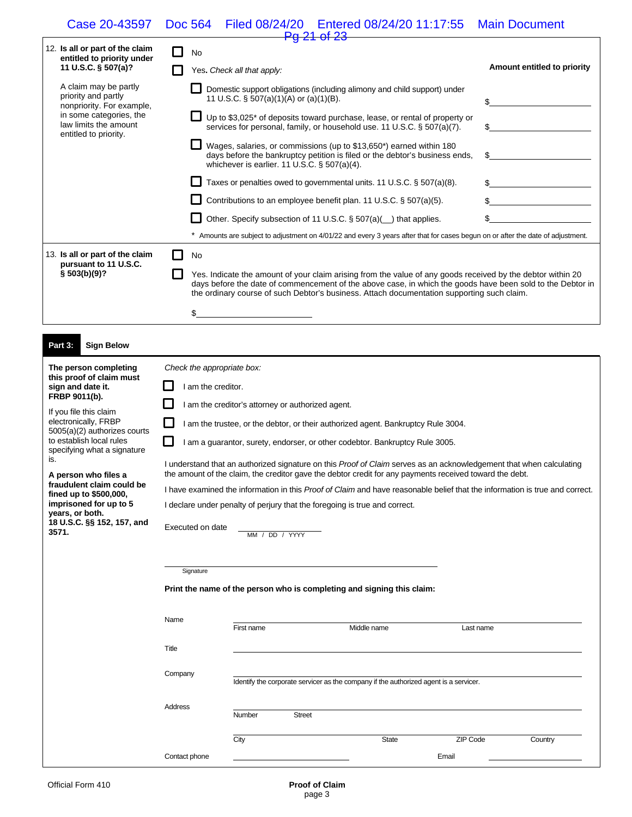## Case 20-43597 Doc 564 Filed 08/24/20 Entered 08/24/20 11:17:55 Main Document Pg 21 of 23

|  | 12. Is all or part of the claim<br>entitled to priority under<br>11 U.S.C. § 507(a)?                                                                   | No                                                                                                                                                                                                                                                                                                                      |                             |
|--|--------------------------------------------------------------------------------------------------------------------------------------------------------|-------------------------------------------------------------------------------------------------------------------------------------------------------------------------------------------------------------------------------------------------------------------------------------------------------------------------|-----------------------------|
|  |                                                                                                                                                        | Yes. Check all that apply:                                                                                                                                                                                                                                                                                              | Amount entitled to priority |
|  | A claim may be partly<br>priority and partly<br>nonpriority. For example,<br>in some categories, the<br>law limits the amount<br>entitled to priority. | Domestic support obligations (including alimony and child support) under<br>11 U.S.C. § 507(a)(1)(A) or (a)(1)(B).                                                                                                                                                                                                      |                             |
|  |                                                                                                                                                        | Up to \$3,025* of deposits toward purchase, lease, or rental of property or<br>services for personal, family, or household use. 11 U.S.C. § 507(a)(7).                                                                                                                                                                  |                             |
|  |                                                                                                                                                        | Wages, salaries, or commissions (up to \$13,650*) earned within 180<br>days before the bankruptcy petition is filed or the debtor's business ends,<br>whichever is earlier. 11 U.S.C. $\S$ 507(a)(4).                                                                                                                   | S.                          |
|  |                                                                                                                                                        | Taxes or penalties owed to governmental units. 11 U.S.C. § 507(a)(8).                                                                                                                                                                                                                                                   |                             |
|  |                                                                                                                                                        | Contributions to an employee benefit plan. 11 U.S.C. § 507(a)(5).                                                                                                                                                                                                                                                       |                             |
|  |                                                                                                                                                        | Other. Specify subsection of 11 U.S.C. § 507(a)( _) that applies.                                                                                                                                                                                                                                                       |                             |
|  |                                                                                                                                                        | Amounts are subject to adjustment on 4/01/22 and every 3 years after that for cases begun on or after the date of adjustment.                                                                                                                                                                                           |                             |
|  | 13. Is all or part of the claim<br>pursuant to 11 U.S.C.                                                                                               | No                                                                                                                                                                                                                                                                                                                      |                             |
|  | § 503(b)(9)?                                                                                                                                           | Yes. Indicate the amount of your claim arising from the value of any goods received by the debtor within 20<br>days before the date of commencement of the above case, in which the goods have been sold to the Debtor in<br>the ordinary course of such Debtor's business. Attach documentation supporting such claim. |                             |
|  |                                                                                                                                                        | \$                                                                                                                                                                                                                                                                                                                      |                             |

| Part 3:<br><b>Sign Below</b>                                                |                                                                                                                                                                                                                                |  |  |  |
|-----------------------------------------------------------------------------|--------------------------------------------------------------------------------------------------------------------------------------------------------------------------------------------------------------------------------|--|--|--|
| The person completing<br>this proof of claim must                           | Check the appropriate box:                                                                                                                                                                                                     |  |  |  |
| sign and date it.                                                           | am the creditor.                                                                                                                                                                                                               |  |  |  |
| FRBP 9011(b).<br>If you file this claim                                     | I am the creditor's attorney or authorized agent.                                                                                                                                                                              |  |  |  |
| electronically, FRBP<br>5005(a)(2) authorizes courts                        | I am the trustee, or the debtor, or their authorized agent. Bankruptcy Rule 3004.                                                                                                                                              |  |  |  |
| to establish local rules<br>specifying what a signature                     | I am a quarantor, surety, endorser, or other codebtor. Bankruptcy Rule 3005.                                                                                                                                                   |  |  |  |
| is.                                                                         | I understand that an authorized signature on this Proof of Claim serves as an acknowledgement that when calculating<br>the amount of the claim, the creditor gave the debtor credit for any payments received toward the debt. |  |  |  |
| A person who files a<br>fraudulent claim could be<br>fined up to \$500,000, | I have examined the information in this Proof of Claim and have reasonable belief that the information is true and correct.                                                                                                    |  |  |  |
| imprisoned for up to 5<br>years, or both.                                   | I declare under penalty of perjury that the foregoing is true and correct.                                                                                                                                                     |  |  |  |
| 18 U.S.C. §§ 152, 157, and<br>3571                                          | Executed on date<br>.                                                                                                                                                                                                          |  |  |  |

| $18$ U.S.C. $99$ 152, 157, and | Executed on date |                                                                        |               |                                                                                       |           |         |
|--------------------------------|------------------|------------------------------------------------------------------------|---------------|---------------------------------------------------------------------------------------|-----------|---------|
| 3571.                          |                  | MM / DD / YYYY                                                         |               |                                                                                       |           |         |
|                                |                  |                                                                        |               |                                                                                       |           |         |
|                                | Signature        |                                                                        |               |                                                                                       |           |         |
|                                |                  | Print the name of the person who is completing and signing this claim: |               |                                                                                       |           |         |
|                                |                  |                                                                        |               |                                                                                       |           |         |
|                                | Name             | First name                                                             | Middle name   |                                                                                       | Last name |         |
|                                | Title            |                                                                        |               |                                                                                       |           |         |
|                                | Company          |                                                                        |               |                                                                                       |           |         |
|                                |                  |                                                                        |               | Identify the corporate servicer as the company if the authorized agent is a servicer. |           |         |
|                                | Address          | Number                                                                 | <b>Street</b> |                                                                                       |           |         |
|                                |                  |                                                                        |               |                                                                                       |           |         |
|                                |                  | City                                                                   |               | State                                                                                 | ZIP Code  | Country |
|                                | Contact phone    |                                                                        |               |                                                                                       | Email     |         |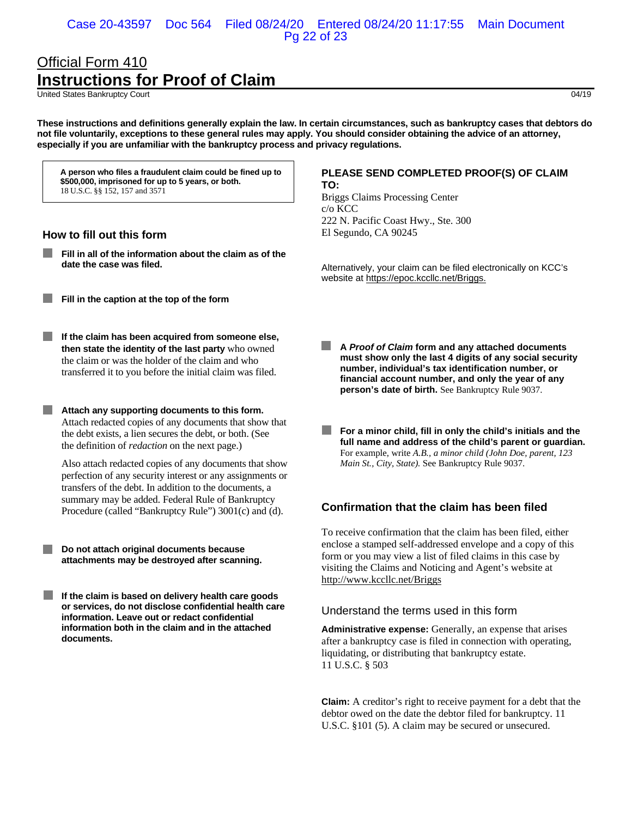### Case 20-43597 Doc 564 Filed 08/24/20 Entered 08/24/20 11:17:55 Main Document Pg 22 of 23

# Official Form 410 **Instructions for Proof of Claim**

United States Bankruptcy Court 04/19

**These instructions and definitions generally explain the law. In certain circumstances, such as bankruptcy cases that debtors do not file voluntarily, exceptions to these general rules may apply. You should consider obtaining the advice of an attorney, especially if you are unfamiliar with the bankruptcy process and privacy regulations.** 

**A person who files a fraudulent claim could be fined up to \$500,000, imprisoned for up to 5 years, or both.**  18 U.S.C. §§ 152, 157 and 3571

#### **How to fill out this form**

- **Fill in all of the information about the claim as of the date the case was filed.**
- **Fill in the caption at the top of the form**
- $\mathcal{L}^{\mathcal{A}}$ **If the claim has been acquired from someone else, then state the identity of the last party** who owned the claim or was the holder of the claim and who transferred it to you before the initial claim was filed.

**Attach any supporting documents to this form.** Attach redacted copies of any documents that show that the debt exists, a lien secures the debt, or both. (See the definition of *redaction* on the next page.)

Also attach redacted copies of any documents that show perfection of any security interest or any assignments or transfers of the debt. In addition to the documents, a summary may be added. Federal Rule of Bankruptcy Procedure (called "Bankruptcy Rule") 3001(c) and (d).

**Do not attach original documents because attachments may be destroyed after scanning.** 

**If the claim is based on delivery health care goods or services, do not disclose confidential health care information. Leave out or redact confidential information both in the claim and in the attached documents.** 

#### **PLEASE SEND COMPLETED PROOF(S) OF CLAIM TO:**

Briggs Claims Processing Center c/o KCC 222 N. Pacific Coast Hwy., Ste. 300 El Segundo, CA 90245

 Alternatively, your claim can be filed electronically on KCC's website at https://epoc.kccllc.net/Briggs.

- **A** *Proof of Claim* **form and any attached documents must show only the last 4 digits of any social security number, individual's tax identification number, or financial account number, and only the year of any person's date of birth.** See Bankruptcy Rule 9037.
- **For a minor child, fill in only the child's initials and the full name and address of the child's parent or guardian.** For example, write *A.B., a minor child (John Doe, parent, 123 Main St., City, State).* See Bankruptcy Rule 9037.

## **Confirmation that the claim has been filed**

 To receive confirmation that the claim has been filed, either enclose a stamped self-addressed envelope and a copy of this form or you may view a list of filed claims in this case by visiting the Claims and Noticing and Agent's website at http://www.kccllc.net/Briggs

#### Understand the terms used in this form

 **Administrative expense:** Generally, an expense that arises after a bankruptcy case is filed in connection with operating, liquidating, or distributing that bankruptcy estate. 11 U.S.C. § 503

 **Claim:** A creditor's right to receive payment for a debt that the debtor owed on the date the debtor filed for bankruptcy. 11 U.S.C. §101 (5). A claim may be secured or unsecured.